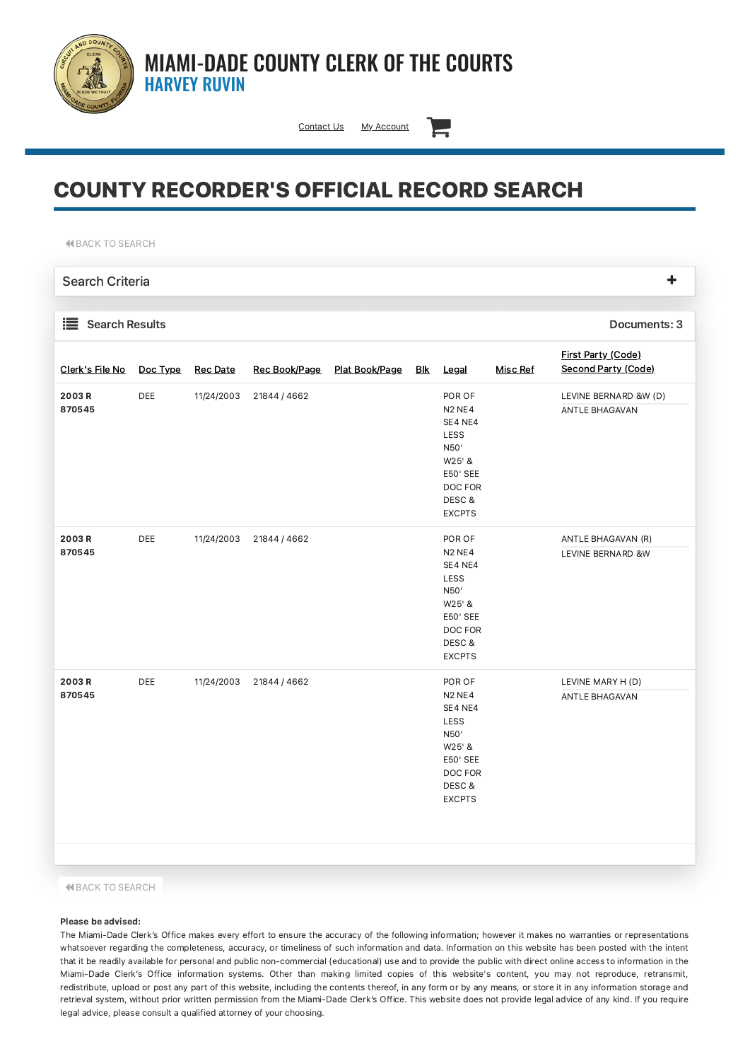

## MIAMI-DADE COUNTY CLERK OF THE COURTS HARVEY RUVIN

[Contact](https://www.miami-dadeclerk.com/clerk/contact.page) Us My [Account](https://www2.miami-dadeclerk.com/PremierServices/accountmanager.aspx)

# COUNTY RECORDER'S OFFICIAL RECORD SEARCH

**K BACK TO [SEARCH](javascript:__doPostBack()** 

Search Criteria Search Results **Documents: 3** [Clerk's](javascript:__doPostBack() File No Doc [Type](javascript:__doPostBack() Rec [Date](javascript:__doPostBack() Rec [Book/Page](javascript:__doPostBack() Plat [Book/Page](javascript:__doPostBack() [Blk](javascript:__doPostBack() [Legal](javascript:__doPostBack() [Misc](javascript:__doPostBack() Ref **First Party [\(Code\)](javascript:__doPostBack()** [Second](javascript:__doPostBack() Party (Code) 2003 R 870545 DEE 11/24/2003 21844 / 4662 POR OF N2 NE4 SE4 NE4 LESS N50' W25' & E50' SEE DOC FOR DESC & EXCPTS LEVINE BERNARD &W (D) ANTLE BHAGAVAN 2003 R 870545 DEE 11/24/2003 21844 / 4662 POR OF N2 NE4 SE4 NE4 ANTLE BHAGAVAN (R) LEVINE BERNARD &W

| ------ |     |                            | .             | LLVINL DLIVINUM QW |
|--------|-----|----------------------------|---------------|--------------------|
|        |     |                            | SE4 NE4       |                    |
|        |     |                            | <b>LESS</b>   |                    |
|        |     |                            | N50'          |                    |
|        |     |                            | W25' &        |                    |
|        |     |                            | E50' SEE      |                    |
|        |     |                            | DOC FOR       |                    |
|        |     |                            | DESC &        |                    |
|        |     |                            | <b>EXCPTS</b> |                    |
| 2003 R | DEE | 11/24/2003<br>21844 / 4662 | POR OF        | LEVINE MARY H (D)  |
| 870545 |     |                            | <b>N2 NE4</b> | ANTLE BHAGAVAN     |
|        |     |                            | SE4 NE4       |                    |
|        |     |                            | <b>LESS</b>   |                    |
|        |     |                            | N50'          |                    |
|        |     |                            | W25' &        |                    |
|        |     |                            | E50' SEE      |                    |
|        |     |                            | DOC FOR       |                    |
|        |     |                            | DESC &        |                    |

#### **K BACK TO [SEARCH](javascript:__doPostBack()**

#### Please be advised:

The Miami-Dade Clerk's Office makes every effort to ensure the accuracy of the following information; however it makes no warranties or representations whatsoever regarding the completeness, accuracy, or timeliness of such information and data. Information on this website has been posted with the intent that it be readily available for personal and public non-commercial (educational) use and to provide the public with direct online access to information in the Miami-Dade Clerk's Office information systems. Other than making limited copies of this website's content, you may not reproduce, retransmit, redistribute, upload or post any part of this website, including the contents thereof, in any form or by any means, or store it in any information storage and retrieval system, without prior written permission from the Miami-Dade Clerk's Office. This website does not provide legal advice of any kind. If you require legal advice, please consult a qualified attorney of your choosing.